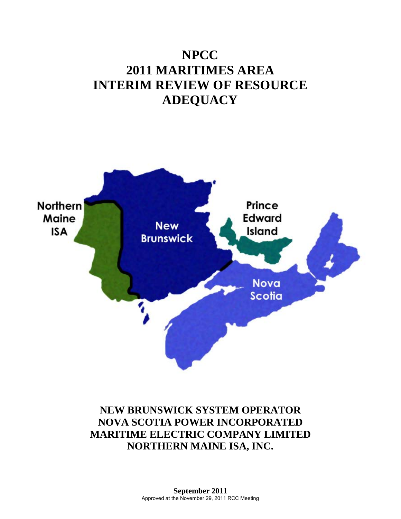



# **NEW BRUNSWICK SYSTEM OPERATOR NOVA SCOTIA POWER INCORPORATED MARITIME ELECTRIC COMPANY LIMITED NORTHERN MAINE ISA, INC.**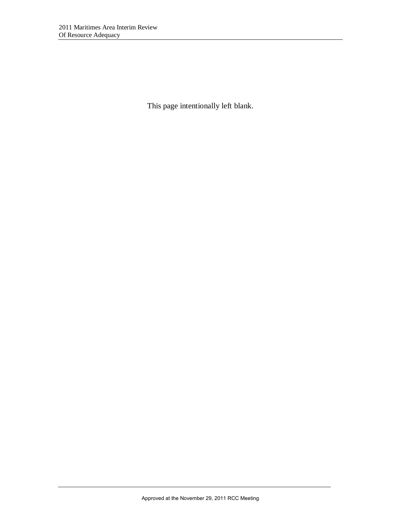This page intentionally left blank.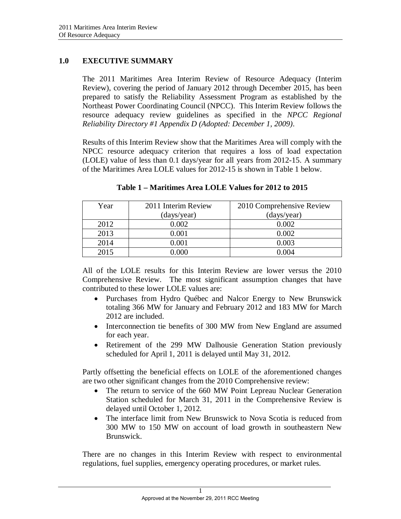# **1.0 EXECUTIVE SUMMARY**

The 2011 Maritimes Area Interim Review of Resource Adequacy (Interim Review), covering the period of January 2012 through December 2015, has been prepared to satisfy the Reliability Assessment Program as established by the Northeast Power Coordinating Council (NPCC). This Interim Review follows the resource adequacy review guidelines as specified in the *NPCC Regional Reliability Directory #1 Appendix D (Adopted: December 1, 2009)*.

Results of this Interim Review show that the Maritimes Area will comply with the NPCC resource adequacy criterion that requires a loss of load expectation (LOLE) value of less than 0.1 days/year for all years from 2012-15. A summary of the Maritimes Area LOLE values for 2012-15 is shown in Table 1 below.

| Year | 2011 Interim Review | 2010 Comprehensive Review |  |  |
|------|---------------------|---------------------------|--|--|
|      | (days/year)         | (days/year)               |  |  |
| 2012 | 0.002               | 0.002                     |  |  |
| 2013 | 0.001               | 0.002                     |  |  |
| 2014 | 0.001               | 0.003                     |  |  |
| 2015 | N 000               | ገ በበ4                     |  |  |

#### **Table 1 – Maritimes Area LOLE Values for 2012 to 2015**

All of the LOLE results for this Interim Review are lower versus the 2010 Comprehensive Review. The most significant assumption changes that have contributed to these lower LOLE values are:

- Purchases from Hydro Québec and Nalcor Energy to New Brunswick totaling 366 MW for January and February 2012 and 183 MW for March 2012 are included.
- Interconnection tie benefits of 300 MW from New England are assumed for each year.
- Retirement of the 299 MW Dalhousie Generation Station previously scheduled for April 1, 2011 is delayed until May 31, 2012.

Partly offsetting the beneficial effects on LOLE of the aforementioned changes are two other significant changes from the 2010 Comprehensive review:

- The return to service of the 660 MW Point Lepreau Nuclear Generation Station scheduled for March 31, 2011 in the Comprehensive Review is delayed until October 1, 2012.
- The interface limit from New Brunswick to Nova Scotia is reduced from 300 MW to 150 MW on account of load growth in southeastern New Brunswick.

There are no changes in this Interim Review with respect to environmental regulations, fuel supplies, emergency operating procedures, or market rules.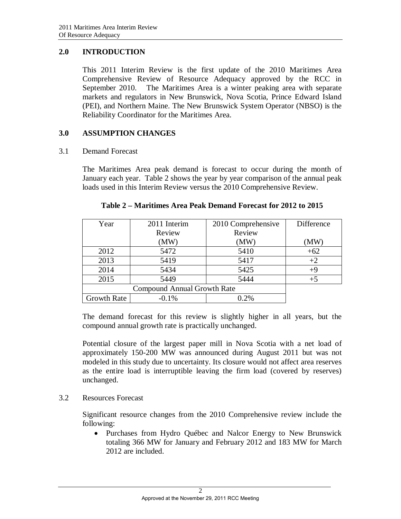## **2.0 INTRODUCTION**

This 2011 Interim Review is the first update of the 2010 Maritimes Area Comprehensive Review of Resource Adequacy approved by the RCC in September 2010. The Maritimes Area is a winter peaking area with separate markets and regulators in New Brunswick, Nova Scotia, Prince Edward Island (PEI), and Northern Maine. The New Brunswick System Operator (NBSO) is the Reliability Coordinator for the Maritimes Area.

## **3.0 ASSUMPTION CHANGES**

#### 3.1 Demand Forecast

The Maritimes Area peak demand is forecast to occur during the month of January each year. Table 2 shows the year by year comparison of the annual peak loads used in this Interim Review versus the 2010 Comprehensive Review.

| Year               | 2011 Interim | 2010 Comprehensive | Difference |
|--------------------|--------------|--------------------|------------|
|                    | Review       | Review             |            |
|                    | (MW)         | (MW)               | (MW)       |
| 2012               | 5472         | 5410               | $+62$      |
| 2013               | 5419         | 5417               | $+2$       |
| 2014               | 5434         | 5425               | $+9$       |
| 2015               | 5449         | 5444               | $+5$       |
|                    |              |                    |            |
| <b>Growth Rate</b> | $-0.1%$      | 0.2%               |            |

#### **Table 2 – Maritimes Area Peak Demand Forecast for 2012 to 2015**

The demand forecast for this review is slightly higher in all years, but the compound annual growth rate is practically unchanged.

Potential closure of the largest paper mill in Nova Scotia with a net load of approximately 150-200 MW was announced during August 2011 but was not modeled in this study due to uncertainty. Its closure would not affect area reserves as the entire load is interruptible leaving the firm load (covered by reserves) unchanged.

3.2 Resources Forecast

Significant resource changes from the 2010 Comprehensive review include the following:

• Purchases from Hydro Québec and Nalcor Energy to New Brunswick totaling 366 MW for January and February 2012 and 183 MW for March 2012 are included.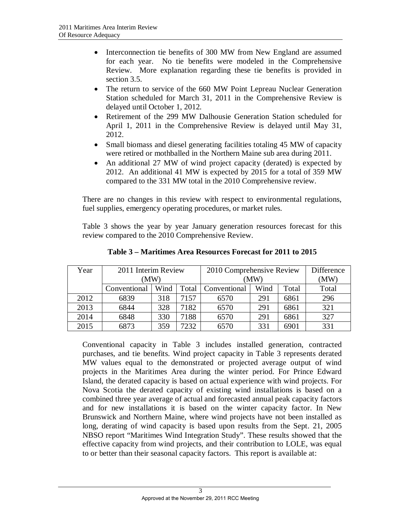- Interconnection tie benefits of 300 MW from New England are assumed for each year. No tie benefits were modeled in the Comprehensive Review. More explanation regarding these tie benefits is provided in section 3.5.
- The return to service of the 660 MW Point Lepreau Nuclear Generation Station scheduled for March 31, 2011 in the Comprehensive Review is delayed until October 1, 2012.
- Retirement of the 299 MW Dalhousie Generation Station scheduled for April 1, 2011 in the Comprehensive Review is delayed until May 31, 2012.
- Small biomass and diesel generating facilities totaling 45 MW of capacity were retired or mothballed in the Northern Maine sub area during 2011.
- An additional 27 MW of wind project capacity (derated) is expected by 2012. An additional 41 MW is expected by 2015 for a total of 359 MW compared to the 331 MW total in the 2010 Comprehensive review.

There are no changes in this review with respect to environmental regulations, fuel supplies, emergency operating procedures, or market rules.

Table 3 shows the year by year January generation resources forecast for this review compared to the 2010 Comprehensive Review.

| Year | 2011 Interim Review |      |      | 2010 Comprehensive Review  |      |       | Difference |
|------|---------------------|------|------|----------------------------|------|-------|------------|
|      | (MW)                |      |      | $\left( \text{MW} \right)$ |      |       | (MW)       |
|      | Conventional        | Wind |      | Total   Conventional       | Wind | Total | Total      |
| 2012 | 6839                | 318  | 7157 | 6570                       | 291  | 6861  | 296        |
| 2013 | 6844                | 328  | 7182 | 6570                       | 291  | 6861  | 321        |
| 2014 | 6848                | 330  | 7188 | 6570                       | 291  | 6861  | 327        |
| 2015 | 6873                | 359  | 7232 | 6570                       | 331  | 6901  | 331        |

**Table 3 – Maritimes Area Resources Forecast for 2011 to 2015**

Conventional capacity in Table 3 includes installed generation, contracted purchases, and tie benefits. Wind project capacity in Table 3 represents derated MW values equal to the demonstrated or projected average output of wind projects in the Maritimes Area during the winter period. For Prince Edward Island, the derated capacity is based on actual experience with wind projects. For Nova Scotia the derated capacity of existing wind installations is based on a combined three year average of actual and forecasted annual peak capacity factors and for new installations it is based on the winter capacity factor. In New Brunswick and Northern Maine, where wind projects have not been installed as long, derating of wind capacity is based upon results from the Sept. 21, 2005 NBSO report "Maritimes Wind Integration Study". These results showed that the effective capacity from wind projects, and their contribution to LOLE, was equal to or better than their seasonal capacity factors. This report is available at: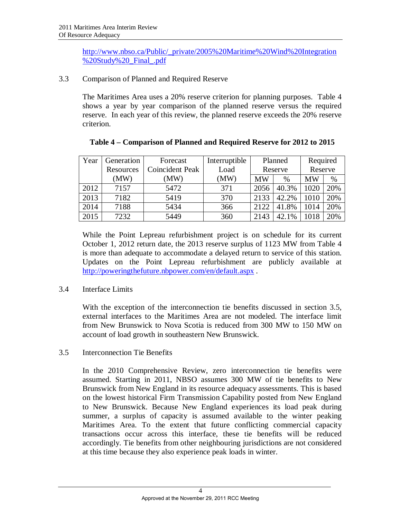[http://www.nbso.ca/Public/\\_private/2005%20Maritime%20Wind%20Integration](http://www.nbso.ca/Public/_private/2005%20Maritime%20Wind%20Integration%20Study%20_Final_.pdf) [%20Study%20\\_Final\\_.pdf](http://www.nbso.ca/Public/_private/2005%20Maritime%20Wind%20Integration%20Study%20_Final_.pdf) 

#### 3.3 Comparison of Planned and Required Reserve

The Maritimes Area uses a 20% reserve criterion for planning purposes. Table 4 shows a year by year comparison of the planned reserve versus the required reserve. In each year of this review, the planned reserve exceeds the 20% reserve criterion.

| Year | Generation | Forecast        | Interruptible |           | Planned | Required  |      |
|------|------------|-----------------|---------------|-----------|---------|-----------|------|
|      | Resources  | Coincident Peak | Load          |           | Reserve | Reserve   |      |
|      | (MW)       | (MW)            | (MW)          | <b>MW</b> | $\%$    | <b>MW</b> | $\%$ |
| 2012 | 7157       | 5472            | 371           | 2056      | 40.3%   | 1020      | 20%  |
| 2013 | 7182       | 5419            | 370           | 2133      | 42.2%   | 1010      | 20%  |
| 2014 | 7188       | 5434            | 366           | 2122      | 41.8%   | 1014      | 20%  |
| 2015 | 7232       | 5449            | 360           | 2143      | 42.1%   | 1018      | 20%  |

**Table 4 – Comparison of Planned and Required Reserve for 2012 to 2015** 

While the Point Lepreau refurbishment project is on schedule for its current October 1, 2012 return date, the 2013 reserve surplus of 1123 MW from Table 4 is more than adequate to accommodate a delayed return to service of this station. Updates on the Point Lepreau refurbishment are publicly available at [http://poweringthefuture.nbpower.com/en/default.aspx .](http://poweringthefuture.nbpower.com/en/default.aspx)

## 3.4 Interface Limits

With the exception of the interconnection tie benefits discussed in section 3.5, external interfaces to the Maritimes Area are not modeled. The interface limit from New Brunswick to Nova Scotia is reduced from 300 MW to 150 MW on account of load growth in southeastern New Brunswick.

## 3.5 Interconnection Tie Benefits

In the 2010 Comprehensive Review, zero interconnection tie benefits were assumed. Starting in 2011, NBSO assumes 300 MW of tie benefits to New Brunswick from New England in its resource adequacy assessments. This is based on the lowest historical Firm Transmission Capability posted from New England to New Brunswick. Because New England experiences its load peak during summer, a surplus of capacity is assumed available to the winter peaking Maritimes Area. To the extent that future conflicting commercial capacity transactions occur across this interface, these tie benefits will be reduced accordingly. Tie benefits from other neighbouring jurisdictions are not considered at this time because they also experience peak loads in winter.